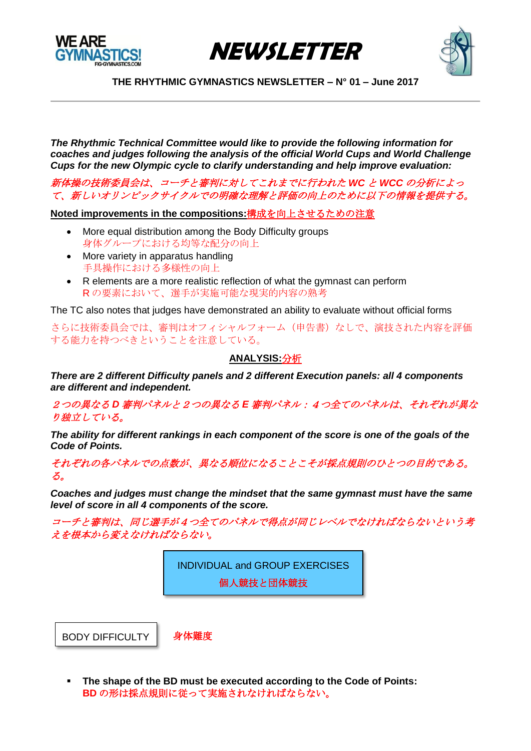





*The Rhythmic Technical Committee would like to provide the following information for coaches and judges following the analysis of the official World Cups and World Challenge Cups for the new Olympic cycle to clarify understanding and help improve evaluation:*

新体操の技術委員会は、コーチと審判に対してこれまでに行われた *WC* と *WCC* の分析によっ て、新しいオリンピックサイクルでの明確な理解と評価の向上のために以下の情報を提供する。

**Noted improvements in the compositions:**構成を向上させるための注意

- More equal distribution among the Body Difficulty groups 身体グループにおける均等な配分の向上
- More variety in apparatus handling 手具操作における多様性の向上
- R elements are a more realistic reflection of what the gymnast can perform R の要素において、選手が実施可能な現実的内容の熟考

The TC also notes that judges have demonstrated an ability to evaluate without official forms

さらに技術委員会では、審判はオフィシャルフォーム(申告書)なしで、演技された内容を評価 する能力を持つべきということを注意している。

### **ANALYSIS:**分析

*There are 2 different Difficulty panels and 2 different Execution panels: all 4 components are different and independent.* 

2つの異なる *D* 審判パネルと2つの異なる *E* 審判パネル:4つ全てのパネルは、それぞれが異な り独立している。

*The ability for different rankings in each component of the score is one of the goals of the Code of Points.*

それぞれの各パネルでの点数が、異なる順位になることこそが採点規則のひとつの目的である。 る。

*Coaches and judges must change the mindset that the same gymnast must have the same level of score in all 4 components of the score.* 

コーチと審判は、同じ選手が4つ全てのパネルで得点が同じレベルでなければならないという考 えを根本から変えなければならない。

> INDIVIDUAL and GROUP EXERCISES 個人競技と団体競技

BODY DIFFICULTY

身体難度

 **The shape of the BD must be executed according to the Code of Points: BD** の形は採点規則に従って実施されなければならない。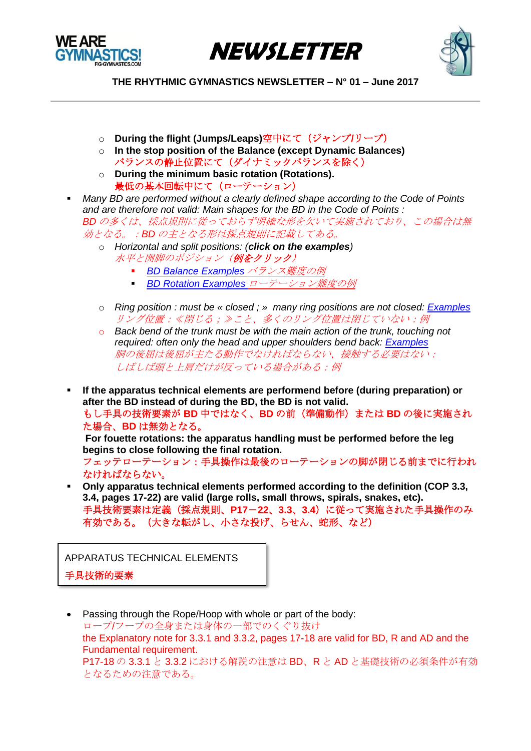





- o **During the flight (Jumps/Leaps)**空中にて(ジャンプ**/**リープ)
- o **In the stop position of the Balance (except Dynamic Balances)**  バランスの静止位置にて(ダイナミックバランスを除く)
- o **During the minimum basic rotation (Rotations).** 最低の基本回転中にて(ローテーション)
- *Many BD are performed without a clearly defined shape according to the Code of Points and are therefore not valid: Main shapes for the BD in the Code of Points : BD* の多くは、採点規則に従っておらず明確な形を欠いて実施されており、この場合は無 効となる。:*BD* の主となる形は採点規則に記載してある。
	- o *Horizontal and split positions: (click on the examples)* 水平と開脚のポジション (例をクリック)
		- *[BD Balance Examples](https://youtu.be/5FwyWd22yXQ)* バランス難度の例
		- **[BD Rotation Examples](https://youtu.be/Q7gcY1j6jG4)** ローテーション難度の例
	- o *Ring position : must be « closed ; » many ring positions are not closed: [Examples](https://youtu.be/Q30LBO2VWcc)* リング位置:≪閉じる;≫こと、多くのリング位置は閉じていない:例
	- o *Back bend of the trunk must be with the main action of the trunk, touching not required: often only the head and upper shoulders bend back: [Examples](https://youtu.be/kSn8zLpWfFY)* 胴の後屈は後屈が主たる動作でなければならない、接触する必要はない: しばしば頭と上肩だけが反っている場合がある:例
- **If the apparatus technical elements are performend before (during preparation) or after the BD instead of during the BD, the BD is not valid.**  もし手具の技術要素が **BD** 中ではなく、**BD** の前(準備動作)または **BD** の後に実施され た場合、**BD** は無効となる。

**For fouette rotations: the apparatus handling must be performed before the leg begins to close following the final rotation.** フェッテローテーション:手具操作は最後のローテーションの脚が閉じる前までに行われ

なければならない。

 **Only apparatus technical elements performed according to the definition (COP 3.3, 3.4, pages 17-22) are valid (large rolls, small throws, spirals, snakes, etc).**  手具技術要素は定義(採点規則、**P17**-**22**、**3.3**、**3.4**)に従って実施された手具操作のみ 有効である。(大きな転がし、小さな投げ、らせん、蛇形、など)

APPARATUS TECHNICAL ELEMENTS

手具技術的要素

 Passing through the Rope/Hoop with whole or part of the body: ロープ/フープの全身または身体の一部でのくぐり抜け the Explanatory note for 3.3.1 and 3.3.2, pages 17-18 are valid for BD, R and AD and the Fundamental requirement. P17-18 の 3.3.1 と 3.3.2 における解説の注意は BD、R と AD と基礎技術の必須条件が有効 となるための注意である。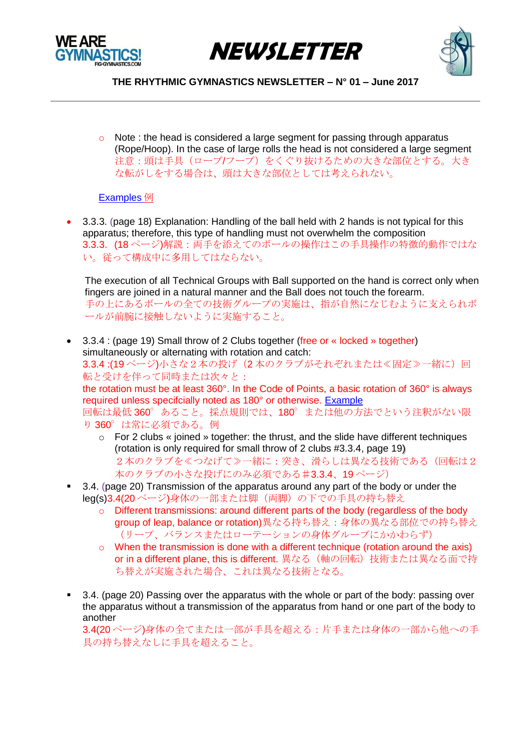





 $\circ$  Note : the head is considered a large segment for passing through apparatus (Rope/Hoop). In the case of large rolls the head is not considered a large segment 注意:頭は手具(ロープ/フープ)をくぐり抜けるための大きな部位とする。大き な転がしをする場合は、頭は大きな部位としては考えられない。

#### [Examples](https://youtu.be/Xc3Ns6d3_Is) 例

• 3.3.3. (page 18) Explanation: Handling of the ball held with 2 hands is not typical for this apparatus; therefore, this type of handling must not overwhelm the composition 3.3.3.(18 ページ)解説:両手を添えてのボールの操作はこの手具操作の特徴的動作ではな い。従って構成中に多用してはならない。

The execution of all Technical Groups with Ball supported on the hand is correct only when fingers are joined in a natural manner and the Ball does not touch the forearm. 手の上にあるボールの全ての技術グループの実施は、指が自然になじむように支えられボ ールが前腕に接触しないように実施すること。

- 3.3.4 : (page 19) Small throw of 2 Clubs together (free or « locked » together) simultaneously or alternating with rotation and catch: 3.3.4 :(19ページ)小さな2本の投げ(2本のクラブがそれぞれまたは≪固定≫一緒に)回 転と受けを伴って同時または次々と: the rotation must be at least 360°. In the Code of Points, a basic rotation of 360° is always required unless specifcially noted as 180° or otherwise. [Example](https://youtu.be/2vQEjmDMlvQ) 回転は最低 360°あること。採点規則では、180°または他の方法でという注釈がない限 り 360°は常に必須である。例
	- $\circ$  For 2 clubs « joined » together: the thrust, and the slide have different techniques (rotation is only required for small throw of 2 clubs #3.3.4, page 19) 2本のクラブを≪つなげて≫一緒に:突き、滑らしは異なる技術である(回転は2 本のクラブの小さな投げにのみ必須である♯3.3.4、19 ページ)
- 3.4. (page 20) Transmission of the apparatus around any part of the body or under the leg(s)3.4(20ページ)身体の一部または脚(両脚)の下での手具の持ち替え
	- $\circ$  Different transmissions: around different parts of the body (regardless of the body group of leap, balance or rotation)異なる持ち替え:身体の異なる部位での持ち替え (リープ、バランスまたはローテーションの身体グループにかかわらず)
	- $\circ$  When the transmission is done with a different technique (rotation around the axis) or in a different plane, this is different. 異なる(軸の回転)技術または異なる面で持 ち替えが実施された場合、これは異なる技術となる。
- 3.4. (page 20) Passing over the apparatus with the whole or part of the body: passing over the apparatus without a transmission of the apparatus from hand or one part of the body to another 3.4(20 ページ)身体の全てまたは一部が手具を超える:片手または身体の一部から他への手

具の持ち替えなしに手具を超えること。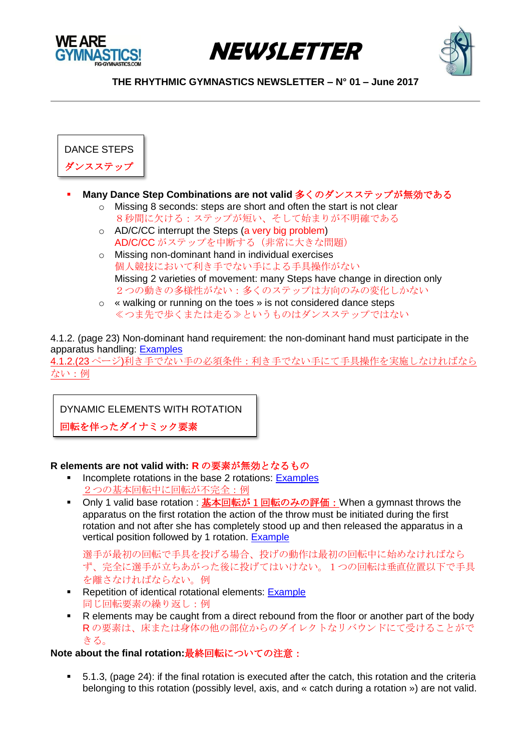





DANCE STEPS ダンスステップ

- **Many Dance Step Combinations are not valid** 多くのダンスステップが無効である
	- o Missing 8 seconds: steps are short and often the start is not clear 8秒間に欠ける:ステップが短い、そして始まりが不明確である
	- o AD/C/CC interrupt the Steps (a very big problem) AD/C/CC がステップを中断する(非常に大きな問題)
	- o Missing non-dominant hand in individual exercises 個人競技において利き手でない手による手具操作がない Missing 2 varieties of movement: many Steps have change in direction only 2つの動きの多様性がない:多くのステップは方向のみの変化しかない
	- o « walking or running on the toes » is not considered dance steps ≪つま先で歩くまたは走る≫というものはダンスステップではない

4.1.2. (page 23) Non-dominant hand requirement: the non-dominant hand must participate in the apparatus handling: [Examples](https://youtu.be/R4Ln2kmaIq8)

4.1.2.(23 ページ)利き手でない手の必須条件:利き手でない手にて手具操作を実施しなければなら ない:例

DYNAMIC ELEMENTS WITH ROTATION

回転を伴ったダイナミック要素

## **R elements are not valid with: R** の要素が無効となるもの

- Incomplete rotations in the base 2 rotations: [Examples](https://youtu.be/NgrIwyjgMFc) 2つの基本回転中に回転が不完全:例
- Only 1 valid base rotation : 基本回転が 1 回転のみの評価: When a gymnast throws the apparatus on the first rotation the action of the throw must be initiated during the first rotation and not after she has completely stood up and then released the apparatus in a vertical position followed by 1 rotation. [Example](https://youtu.be/qv7Y5xJEKkg)

選手が最初の回転で手具を投げる場合、投げの動作は最初の回転中に始めなければなら ず、完全に選手が立ちあがった後に投げてはいけない。1つの回転は垂直位置以下で手具 を離さなければならない。例

- Repetition of identical rotational elements: [Example](https://youtu.be/ILjEHqXJLe0) 同じ回転要素の繰り返し:例
- R elements may be caught from a direct rebound from the floor or another part of the body R の要素は、床または身体の他の部位からのダイレクトなリバウンドにて受けることがで きる。

# **Note about the final rotation:**最終回転についての注意:

 5.1.3, (page 24): if the final rotation is executed after the catch, this rotation and the criteria belonging to this rotation (possibly level, axis, and « catch during a rotation ») are not valid.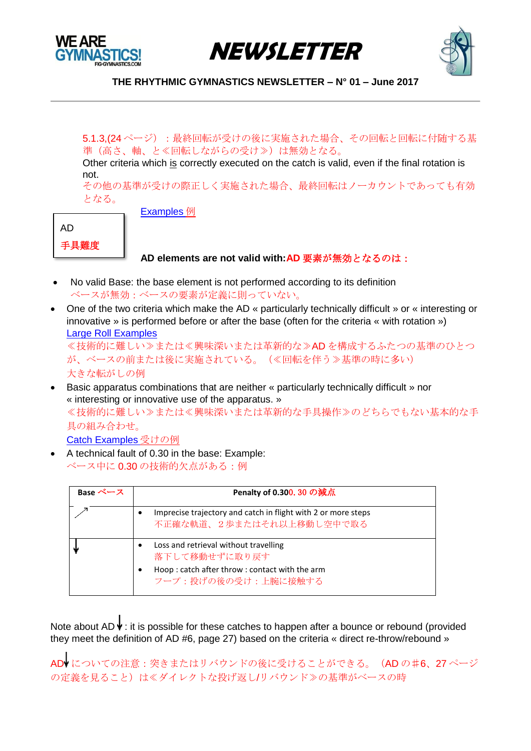





5.1.3,(24ページ):最終回転が受けの後に実施された場合、その回転と回転に付随する基 準(高さ、軸、と≪回転しながらの受け≫)は無効となる。

Other criteria which is correctly executed on the catch is valid, even if the final rotation is not.

その他の基準が受けの際正しく実施された場合、最終回転はノーカウントであっても有効 となる。

AD

手具難度

[Examples](https://youtu.be/sDPu2bpfHRo) 例

# **AD elements are not valid with:AD** 要素が無効となるのは:

- No valid Base: the base element is not performed according to its definition ベースが無効:ベースの要素が定義に則っていない。
- One of the two criteria which make the AD « particularly technically difficult » or « interesting or innovative » is performed before or after the base (often for the criteria « with rotation ») [Large Roll Examples](https://youtu.be/RPhIICTxjJ0)

≪技術的に難しい≫または≪興味深いまたは革新的な≫AD を構成するふたつの基準のひとつ が、ベースの前または後に実施されている。(≪回転を伴う≫基準の時に多い) 大きな転がしの例

- Basic apparatus combinations that are neither « particularly technically difficult » nor « interesting or innovative use of the apparatus. » ≪技術的に難しい≫または≪興味深いまたは革新的な手具操作≫のどちらでもない基本的な手 具の組み合わせ。 [Catch Examples](https://youtu.be/QRA1NjK86kM) 受けの例
- A technical fault of 0.30 in the base: Example: ベース中に 0.30 の技術的欠点がある:例

| Base ベース | Penalty of 0.300. 30 の減点                                                                                                                         |
|----------|--------------------------------------------------------------------------------------------------------------------------------------------------|
|          | Imprecise trajectory and catch in flight with 2 or more steps<br>٠<br>不正確な軌道、2歩またはそれ以上移動し空中で取る                                                   |
|          | Loss and retrieval without travelling<br>$\bullet$<br>落下して移動せずに取り戻す<br>Hoop: catch after throw: contact with the arm<br>٠<br>フープ:投げの後の受け:上腕に接触する |

Note about AD  $\overline{\Psi}$ : it is possible for these catches to happen after a bounce or rebound (provided they meet the definition of AD #6, page 27) based on the criteria « direct re-throw/rebound »

AD についての注意: 突きまたはリバウンドの後に受けることができる。(AD の#6、27 ページ の定義を見ること)は≪ダイレクトな投げ返し/リバウンド≫の基準がベースの時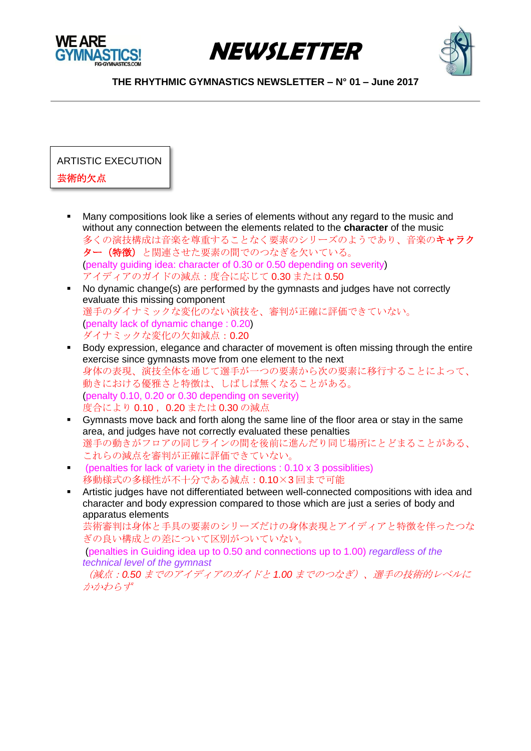





ARTISTIC EXECUTION

# 芸術的欠点

- Many compositions look like a series of elements without any regard to the music and without any connection between the elements related to the **character** of the music 多くの演技構成は音楽を尊重することなく要素のシリーズのようであり、音楽のキャラク ター(特徴)と関連させた要素の間でのつなぎを欠いている。 (penalty guiding idea: character of 0.30 or 0.50 depending on severity) アイディアのガイドの減点:度合に応じて 0.30 または 0.50
- No dynamic change(s) are performed by the gymnasts and judges have not correctly evaluate this missing component 選手のダイナミックな変化のない演技を、審判が正確に評価できていない。 (penalty lack of dynamic change : 0.20) ダイナミックな変化の欠如減点:0.20
- Body expression, elegance and character of movement is often missing through the entire exercise since gymnasts move from one element to the next 身体の表現、演技全体を通じて選手が一つの要素から次の要素に移行することによって、 動きにおける優雅さと特徴は、しばしば無くなることがある。 (penalty 0.10, 0.20 or 0.30 depending on severity) 度合により 0.10, 0.20 または 0.30 の減点
- Gymnasts move back and forth along the same line of the floor area or stay in the same area, and judges have not correctly evaluated these penalties 選手の動きがフロアの同じラインの間を後前に進んだり同じ場所にとどまることがある、 これらの減点を審判が正確に評価できていない。
- (penalties for lack of variety in the directions : 0.10 x 3 possiblities) 移動様式の多様性が不十分である減点:0.10×3 回まで可能
- Artistic judges have not differentiated between well-connected compositions with idea and character and body expression compared to those which are just a series of body and apparatus elements

芸術審判は身体と手具の要素のシリーズだけの身体表現とアイディアと特徴を伴ったつな ぎの良い構成との差について区別がついていない。

(penalties in Guiding idea up to 0.50 and connections up to 1.00) *regardless of the technical level of the gymnast*

(減点:*0.50* までのアイディアのガイドと *1.00* までのつなぎ)、選手の技術的レベルに かかわらず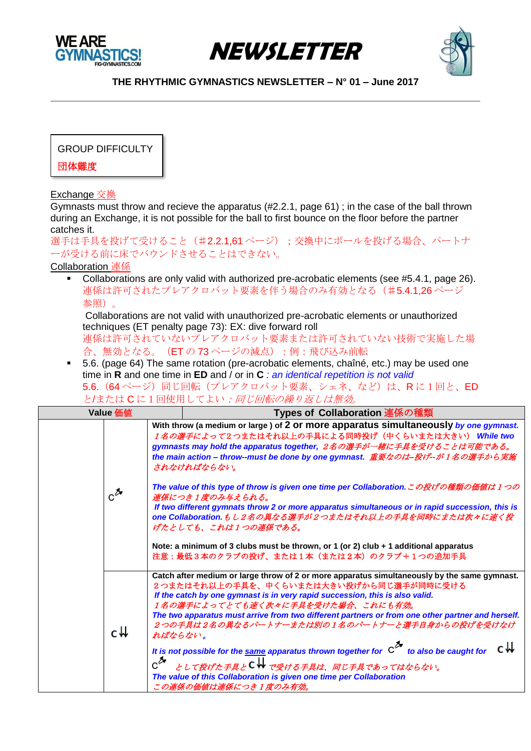





GROUP DIFFICULTY

団体難度

Exchange 交換

Gymnasts must throw and recieve the apparatus (#2.2.1, page 61) ; in the case of the ball thrown during an Exchange, it is not possible for the ball to first bounce on the floor before the partner catches it.

選手は手具を投げて受けること(#2.2.1,61ページ);交換中にボールを投げる場合、パートナ ーが受ける前に床でバウンドさせることはできない。

Collaboration 連係

Collaborations are only valid with authorized pre-acrobatic elements (see #5.4.1, page 26). 連係は許可されたプレアクロバット要素を伴う場合のみ有効となる(#5.4.1,26ページ 参照)。

Collaborations are not valid with unauthorized pre-acrobatic elements or unauthorized techniques (ET penalty page 73): EX: dive forward roll

連係は許可されていないプレアクロバット要素または許可されていない技術で実施した場 合、無効となる。(ETの73ページの減点):例:飛び込み前転

 5.6. (page 64) The same rotation (pre-acrobatic elements, chaîné, etc.) may be used one time in **R** and one time in **ED** and / or in **C** *: an identical repetition is not valid* 5.6. (64ページ)同じ回転(プレアクロバット要素、シェネ、など)は、R に1回と、ED とまたはCに1回使用してよい:同じ回転の繰り返しは無効。

| <b>Value</b> 価値   |                                       | Types of Collaboration 連係の種類                                                                                                                                                                                                                                                                                                                                                                                                                                                                                                                                                                                                                                                                                                                                                                  |
|-------------------|---------------------------------------|-----------------------------------------------------------------------------------------------------------------------------------------------------------------------------------------------------------------------------------------------------------------------------------------------------------------------------------------------------------------------------------------------------------------------------------------------------------------------------------------------------------------------------------------------------------------------------------------------------------------------------------------------------------------------------------------------------------------------------------------------------------------------------------------------|
| $c^{\mathcal{Z}}$ |                                       | With throw (a medium or large ) of 2 or more apparatus simultaneously by one gymnast.<br>1名の選手によって2つまたはそれ以上の手具による同時投げ(中くらいまたは大きい) While two<br>gymnasts may hold the apparatus together, 2名の選手が一緒に手具を受けることは可能である。<br>the main action – throw--must be done by one gymnast. 重要なのは–投げ––が1名の選手から実施<br>されなければならない。<br>The value of this type of throw is given one time per Collaboration.この投げの種類の価値は1つの<br>連係につき1度のみ与えられる。<br>If two different gymnats throw 2 or more apparatus simultaneous or in rapid succession, this is<br>one Collaboration.もし2名の異なる選手が2つまたはそれ以上の手具を同時にまたは次々に速く投<br>げたとしても、これは1つの連係である。                                                                                                                                                                                   |
| c₩                | ればならない。<br>$\mathrm{c}^{\mathcal{Z}}$ | Note: a minimum of 3 clubs must be thrown, or 1 (or 2) club + 1 additional apparatus<br>注意:最低3本のクラブの投げ、または1本(または2本)のクラブ+1つの追加手具<br>Catch after medium or large throw of 2 or more apparatus simultaneously by the same gymnast.<br>2つまたはそれ以上の手具を、中くらいまたは大きい投げから同じ選手が同時に受ける<br>If the catch by one gymnast is in very rapid succession, this is also valid.<br>1名の選手によってとても速く次々に手具を受けた場合、これにも有効。<br>The two apparatus must arrive from two different partners or from one other partner and herself.<br>2つの手具は2名の異なるパートナーまたは別の1名のパートナーと選手自身からの投げを受けなけ<br>It is not possible for the same apparatus thrown together for $C^{\lambda}$ to also be caught for<br>として投げた手具とCWで受ける手具は、同じ手具であってはならない。<br>The value of this Collaboration is given one time per Collaboration<br>この連係の価値は連係につき1度のみ有効。 |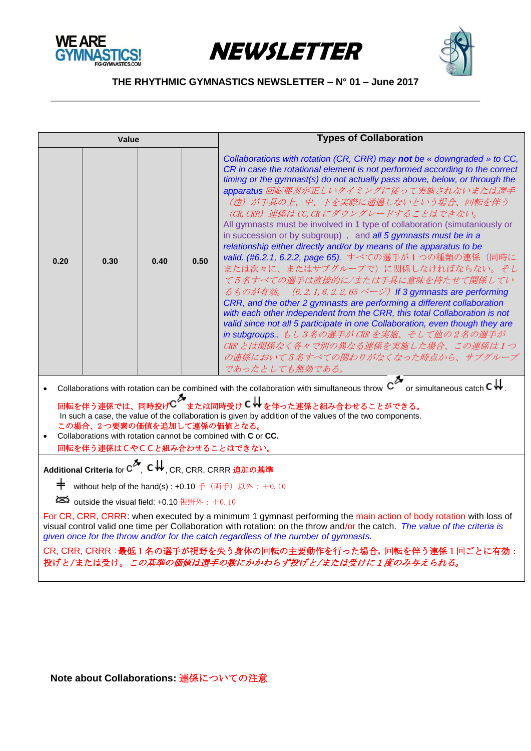





| Value                                                                                                                                                                                                                                                                                                                                                                                                                                                                                                                                                                                                                                        |      |      |      | <b>Types of Collaboration</b>                                                                                                                                                                                                                                                                                                                                                                                                                                                                                                                                                                                                                                                                                                                                                                                                                                                                                                                                                                                                                                                                                                                                           |  |
|----------------------------------------------------------------------------------------------------------------------------------------------------------------------------------------------------------------------------------------------------------------------------------------------------------------------------------------------------------------------------------------------------------------------------------------------------------------------------------------------------------------------------------------------------------------------------------------------------------------------------------------------|------|------|------|-------------------------------------------------------------------------------------------------------------------------------------------------------------------------------------------------------------------------------------------------------------------------------------------------------------------------------------------------------------------------------------------------------------------------------------------------------------------------------------------------------------------------------------------------------------------------------------------------------------------------------------------------------------------------------------------------------------------------------------------------------------------------------------------------------------------------------------------------------------------------------------------------------------------------------------------------------------------------------------------------------------------------------------------------------------------------------------------------------------------------------------------------------------------------|--|
| 0.20                                                                                                                                                                                                                                                                                                                                                                                                                                                                                                                                                                                                                                         | 0.30 | 0.40 | 0.50 | Collaborations with rotation (CR, CRR) may not be « downgraded » to CC,<br>CR in case the rotational element is not performed according to the correct<br>timing or the gymnast(s) do not actually pass above, below, or through the<br>apparatus 回転要素が正しいタイミングに従って実施されないまたは選手<br>(達) が手具の上、中、下を実際に通過しないという場合、回転を伴う<br>(CR, CRR) 連係は CC, CR にダウングレードすることはできない。<br>All gymnasts must be involved in 1 type of collaboration (simutaniously or<br>in succession or by subgroup), and all 5 gymnasts must be in a<br>relationship either directly and/or by means of the apparatus to be<br>valid. (#6.2.1, 6.2.2, page 65). すべての選手が1つの種類の連係 (同時に<br>または次々に、またはサブグループで)に関係しなければならない。そし<br>て5名すべての選手は直接的に/または手具に意味を持たせて関係してい<br>るものが有効。 (6.2.1,6.2.2,65 ページ) If 3 gymnasts are performing<br>CRR, and the other 2 gymnasts are performing a different collaboration<br>with each other independent from the CRR, this total Collaboration is not<br>valid since not all 5 participate in one Collaboration, even though they are<br>in subgroups もし3名の選手が CRR を実施、そして他の2名の選手が<br>CRR とは関係なく各々で別の異なる連係を実施した場合、この連係は1つ<br>の連係において5名すべての関わりがなくなった時点から、サブグループ<br>であったとしても無効である。 |  |
| Collaborations with rotation can be combined with the collaboration with simultaneous throw $\text{c}^{\blacktriangleright}$ or simultaneous catch $\text{c}$ $\Downarrow$<br>回転を伴う連係では、同時投げ℃~<br>■転を伴う連係では、同時投げ℃~または同時受け ℃ ₩ を伴った連係と組み合わせることができる。<br>In such a case, the value of the collaboration is given by addition of the values of the two components.<br>この場合、2つ要素の価値を追加して連係の価値となる。<br>Collaborations with rotation cannot be combined with C or CC.<br>回転を伴う連係はCやCCと組み合わせることはできない。                                                                                                                                                 |      |      |      |                                                                                                                                                                                                                                                                                                                                                                                                                                                                                                                                                                                                                                                                                                                                                                                                                                                                                                                                                                                                                                                                                                                                                                         |  |
| Additional Criteria for C <sup>2</sup> , CW, CR, CRR, CRRR 追加の基準<br>丰<br>without help of the hand(s): +0.10 手 (両手) 以外: +0.10<br>SO outside the visual field: +0.10 $#$ 野外: +0.10<br>For CR, CRR, CRRR: when executed by a minimum 1 gymnast performing the main action of body rotation with loss of<br>visual control valid one time per Collaboration with rotation: on the throw and/or the catch. The value of the criteria is<br>given once for the throw and/or for the catch regardless of the number of gymnasts.<br>CR, CRR, CRRR:最低1名の選手が視野を失う身体の回転の主要動作を行った場合,回転を伴う連係1回ごとに有効:<br>投げと/または受け。この基準の価値は選手の数にかかわらず投げと/または受けに1度のみ与えられる。 |      |      |      |                                                                                                                                                                                                                                                                                                                                                                                                                                                                                                                                                                                                                                                                                                                                                                                                                                                                                                                                                                                                                                                                                                                                                                         |  |